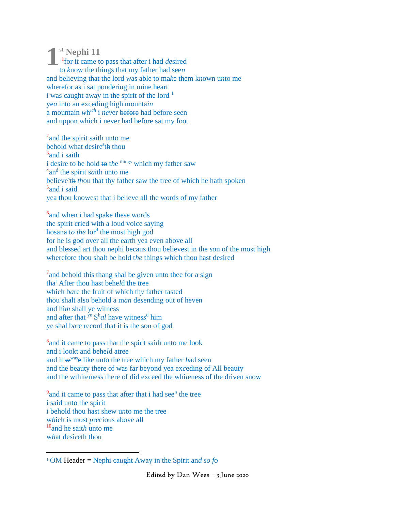**st Nephi 11 1** 1 for it came to pass that after i had *de*sired to *k*now the things that my father had see*n* and believing that the lord *w*as able to ma*k*e them k*n*own u*n*to me wherefor as i sat pondering in mine heart i was caught away in the spirit of the lord  $<sup>1</sup>$ </sup> ye*a* into an exceding high mounta*in* a mountain *w*h *ich* i *nev*er before had before seen and uppon which i never had before sat my foot

<sup>2</sup> and the spirit saith unto me behold what desire<sup>s</sup>th thou <sup>3</sup> and i saith i desire to be hold to the <sup>things</sup> which my father saw <sup>4</sup>an<sup>d</sup> the spirit s*a*ith unto me believe<sup>s</sup>th *thou* that thy father saw the tree of which he hath spoken <sup>5</sup> and i said yea thou knowest that i believe all the words of my father

<sup>6</sup> and when i had spake these words the spirit cried with a loud voice saying hosana to the lor<sup>d</sup> the most high god for he is god over all the earth yea even above all and blessed art thou nephi becaus thou believest in the *so*n of the most high wherefore thou shalt be hold t*he* things which thou hast de*s*ired

<sup>7</sup> and behold this thang shal be given unto thee for a sign tha<sup>t</sup> After thou hast behe*l*d the tree which b*a*re the fruit of which th*y* father tasted thou shalt also behold a m*an* de*s*ending out of heven and hi*m* shall ye witness and after that ye S h *al* have witnes*s* d him ye shal bare record that it is the son of god

<sup>8</sup> and it came to pass that the spir<sup>i</sup>t sai*t*h unto me look and i lookt and behe*l*d atree and it w wase like unto the tree which my father *h*ad seen and the beauty there of was far beyond yea ex*c*eding of All beauty and the wthitemess there of did exceed the whi*t*eness of the driven snow

<sup>9</sup> and it came to pass that after that i had see<sup>n</sup> the tree i said unto the spirit i behold thou hast shew u*n*to me the tree w*h*ich is most *p*recious above all <sup>10</sup>and he sait*h* unto me w*h*at desi*r*eth thou

<sup>1</sup> OM Header = Nephi ca*u*ght Away in the Spirit an*d so fo*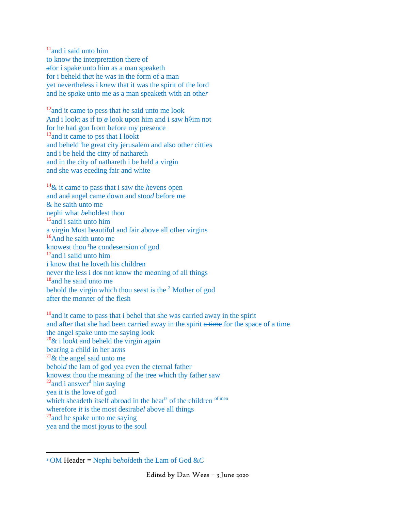$11$ and i said unto him to know the interpre*t*ation there of afor i spake unto him as a man speaketh for i beheld th*a*t he was in the form of a man yet nevertheless i k*n*ew that it was the spirit of the lord and he sp*a*ke unto me as a man speaketh with an othe*r*

<sup>12</sup>and it came to pess that *h*e said unto me look And i lookt as if to  $\alpha$  look upon him and i saw h $\theta$ im not for he had gon from before my presence <sup>13</sup> and it came to pss that I lookt and beheld <sup>t</sup>he great city jerusalem and also other citties and i be held the citty of nathareth and in the city of nathareth i be held a virgin and she was eceding fair and white

<sup>14</sup>& it came to pass that i saw the *h*evens open and and angel came down and stoo*d* before me & he saith unto me nephi what *b*eholdest thou <sup>15</sup> and i saith unto him a virgin Most beautiful and fair above all other virgins <sup>16</sup>And he saith unto me knowest thou <sup>t</sup>he condesension of god <sup>17</sup> and i saiid unto him i know that he loveth his children never the less i dot not know the me*a*ning of all things <sup>18</sup> and he saiid unto me behold the virgin which thou se*e*st is the <sup>2</sup> Mother of god after the m*a*n*n*er of the flesh

<sup>19</sup> and it came to pass that i behel that she was carried away in the spirit and after that she had been ca*r*ried away in the spirit a time for the space of a time the angel spake unto me saying look <sup>20</sup>& i loo*k*t and beheld the virgin agai*n* bear*i*ng a child in her ar*m*s  $21\&$  the angel said unto me behol*d* the lam of god yea even the eternal father knowest thou the meaning of the tree which thy father saw <sup>22</sup>a*n*d i answer<sup>d</sup> hi*m s*aying yea it is the love of god which sheadeth itself abroad in the hearts of the children  $\sigma$ <sup>f men</sup> wherefore i*t* is the most desirab*el* above all things <sup>23</sup>and he spake unto me saying y*e*a and the most jo*y*us to the soul

<sup>2</sup> OM Header = Nephi be*h*o*l*deth the Lam of God &*C*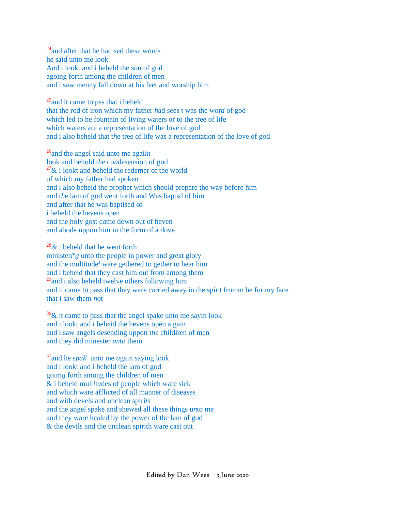$24$ and after that he had sed these words he said unto me look And i lookt a*n*d i beheld the son of god agoing forth among the children of men and i saw menny fall down at his feet and worship him

<sup>25</sup> and it came to pss that i beheld that the rod of iron which my father *h*ad see*s* t was the wor*d* of god which led to he fountain of living waters or to the tree of life which waters are a representation of the love of god and i also beheld that t*h*e tree of life was a representation of the love of god

<sup>26</sup>and the angel *s*aid unto me agai*in* look and behold t*h*e co*n*desension of god  $27\&$  i lookt and beheld the redemer of the world of which my father had spoken and i also beheld the prophet which should prepare the way before him and t*h*e lam of god *w*ent forth and Was baptsd of him and after that he was baptised of i beheld the hevens open and the holy gost c*a*me down out of heven and abode uppon him in the form of a dove

<sup>28</sup>*&* i beheld that he went forth ministeri<sup>n</sup>g unto the people in power and great glory and the multitude<sup>s</sup> ware gethered to gether to hear him and i beheld that they cast him out from among them <sup>29</sup>and i also beheld twelve others following him and it came to pass that they ware carried away in the spir<sup>i</sup>t fromm be for my face that i saw them *no*t

<sup>30</sup>& it *c*ame to pass that *t*he angel spake unto me sayin look and i lookt and i beh*el*d the hevens open a gain a*n*d i saw angels desending uppon t*he* childlren of men a*n*d they did minester *un*to them

<sup>31</sup>and he s*pak*<sup>e</sup> unto me *a*gain *s*aying look and i lookt and i beheld the lam of god goim*g* forth among the children of men & i beheld mult*i*t*u*des of people which ware sick and which ware affl*i*cted of all manner of diseases and with devels and unclean spiri*t*s and the angel spake and shewed all the*s*e things u*n*to me and they ware healed by the power of the lam of god & the devils and the unclean spirith ware cast out